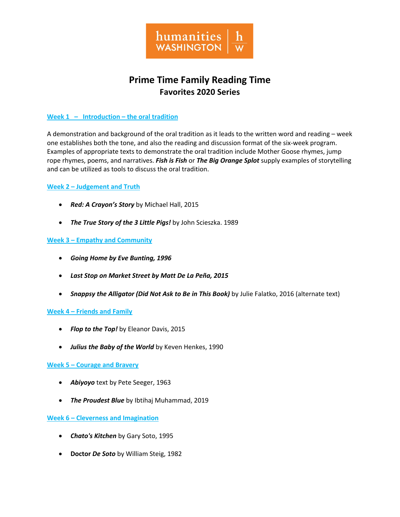

# **Prime Time Family Reading Time Favorites 2020 Series**

## **Week 1 – Introduction – the oral tradition**

A demonstration and background of the oral tradition as it leads to the written word and reading – week one establishes both the tone, and also the reading and discussion format of the six-week program. Examples of appropriate texts to demonstrate the oral tradition include Mother Goose rhymes, jump rope rhymes, poems, and narratives. *Fish is Fish* or *The Big Orange Splot* supply examples of storytelling and can be utilized as tools to discuss the oral tradition.

#### **Week 2 – Judgement and Truth**

- *Red: A Crayon's Story* by Michael Hall, 2015
- *The True Story of the 3 Little Pigs!* by John Scieszka. 1989

## **Week 3 – Empathy and Community**

- *Going Home by Eve Bunting, 1996*
- *Last Stop on Market Street by Matt De La Peña, 2015*
- *Snappsy the Alligator (Did Not Ask to Be in This Book)* by Julie Falatko, 2016 (alternate text)

#### **Week 4 – Friends and Family**

- *Flop to the Top!* by Eleanor Davis, 2015
- *Julius the Baby of the World* by Keven Henkes, 1990

#### **Week 5 – Courage and Bravery**

- *Abiyoyo* text by Pete Seeger, 1963
- *The Proudest Blue* by Ibtihaj Muhammad, 2019

#### **Week 6 – Cleverness and Imagination**

- *Chato's Kitchen* by Gary Soto, 1995
- **Doctor** *De Soto* by William Steig, 1982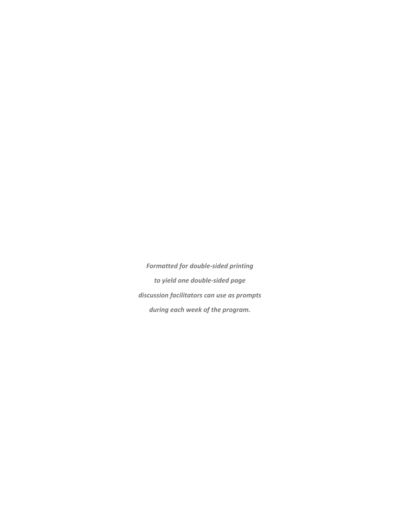*Formatted for double-sided printing to yield one double-sided page discussion facilitators can use as prompts during each week of the program.*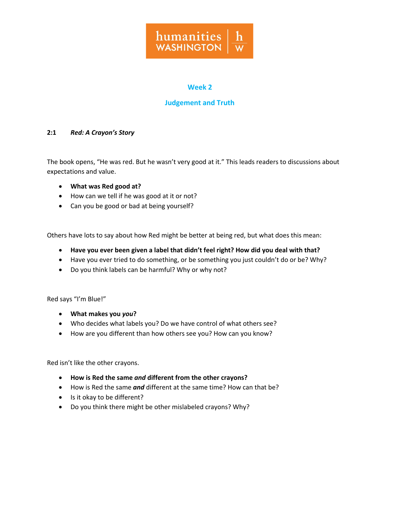

## **Judgement and Truth**

#### **2:1** *Red: A Crayon's Story*

The book opens, "He was red. But he wasn't very good at it." This leads readers to discussions about expectations and value.

- **What was Red good at?**
- How can we tell if he was good at it or not?
- Can you be good or bad at being yourself?

Others have lots to say about how Red might be better at being red, but what does this mean:

- **Have you ever been given a label that didn't feel right? How did you deal with that?**
- Have you ever tried to do something, or be something you just couldn't do or be? Why?
- Do you think labels can be harmful? Why or why not?

Red says "I'm Blue!"

- **What makes you** *you***?**
- Who decides what labels you? Do we have control of what others see?
- How are you different than how others see you? How can you know?

Red isn't like the other crayons.

- **How is Red the same** *and* **different from the other crayons?**
- How is Red the same *and* different at the same time? How can that be?
- Is it okay to be different?
- Do you think there might be other mislabeled crayons? Why?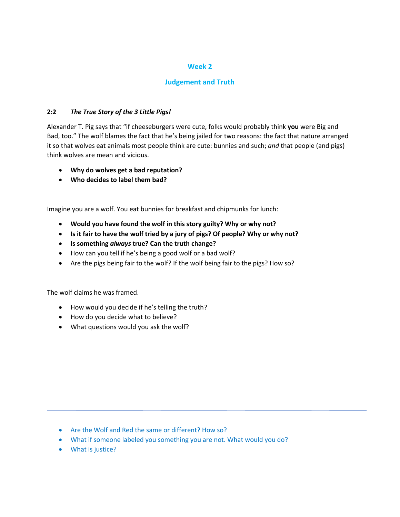## **Judgement and Truth**

## **2:2** *The True Story of the 3 Little Pigs!*

Alexander T. Pig says that "if cheeseburgers were cute, folks would probably think **you** were Big and Bad, too." The wolf blames the fact that he's being jailed for two reasons: the fact that nature arranged it so that wolves eat animals most people think are cute: bunnies and such; *and* that people (and pigs) think wolves are mean and vicious.

- **Why do wolves get a bad reputation?**
- **Who decides to label them bad?**

Imagine you are a wolf. You eat bunnies for breakfast and chipmunks for lunch:

- **Would you have found the wolf in this story guilty? Why or why not?**
- **Is it fair to have the wolf tried by a jury of pigs? Of people? Why or why not?**
- **Is something** *always* **true? Can the truth change?**
- How can you tell if he's being a good wolf or a bad wolf?
- Are the pigs being fair to the wolf? If the wolf being fair to the pigs? How so?

The wolf claims he was framed.

- How would you decide if he's telling the truth?
- How do you decide what to believe?
- What questions would you ask the wolf?

- Are the Wolf and Red the same or different? How so?
- What if someone labeled you something you are not. What would you do?
- What is justice?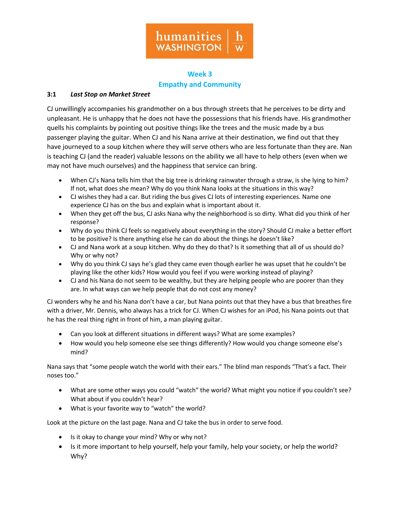

## **Week 3 Empathy and Community**

## **3:1** *Last Stop on Market Street*

CJ unwillingly accompanies his grandmother on a bus through streets that he perceives to be dirty and unpleasant. He is unhappy that he does not have the possessions that his friends have. His grandmother quells his complaints by pointing out positive things like the trees and the music made by a bus passenger playing the guitar. When CJ and his Nana arrive at their destination, we find out that they have journeyed to a soup kitchen where they will serve others who are less fortunate than they are. Nan is teaching CJ (and the reader) valuable lessons on the ability we all have to help others (even when we may not have much ourselves) and the happiness that service can bring.

- When CJ's Nana tells him that the big tree is drinking rainwater through a straw, is she lying to him? If not, what does she mean? Why do you think Nana looks at the situations in this way?
- CJ wishes they had a car. But riding the bus gives CJ lots of interesting experiences. Name one experience CJ has on the bus and explain what is important about it.
- When they get off the bus, CJ asks Nana why the neighborhood is so dirty. What did you think of her response?
- Why do you think CJ feels so negatively about everything in the story? Should CJ make a better effort to be positive? Is there anything else he can do about the things he doesn't like?
- CJ and Nana work at a soup kitchen. Why do they do that? Is it something that all of us should do? Why or why not?
- Why do you think CJ says he's glad they came even though earlier he was upset that he couldn't be playing like the other kids? How would you feel if you were working instead of playing?
- CJ and his Nana do not seem to be wealthy, but they are helping people who are poorer than they are. In what ways can we help people that do not cost any money?

CJ wonders why he and his Nana don't have a car, but Nana points out that they have a bus that breathes fire with a driver, Mr. Dennis, who always has a trick for CJ. When CJ wishes for an iPod, his Nana points out that he has the real thing right in front of him, a man playing guitar.

- Can you look at different situations in different ways? What are some examples?
- How would you help someone else see things differently? How would you change someone else's mind?

Nana says that "some people watch the world with their ears." The blind man responds "That's a fact. Their noses too."

- What are some other ways you could "watch" the world? What might you notice if you couldn't see? What about if you couldn't hear?
- What is your favorite way to "watch" the world?

Look at the picture on the last page. Nana and CJ take the bus in order to serve food.

- Is it okay to change your mind? Why or why not?
- Is it more important to help yourself, help your family, help your society, or help the world? Why?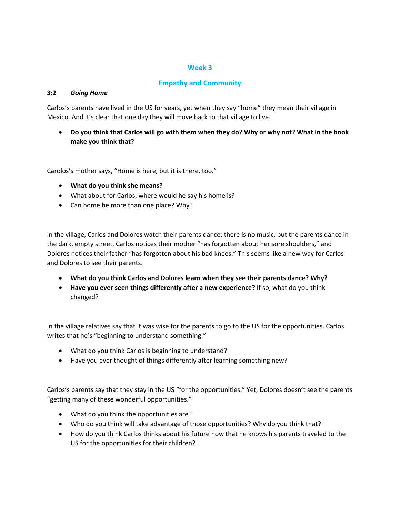## **Empathy and Community**

#### **3:2** *Going Home*

Carlos's parents have lived in the US for years, yet when they say "home" they mean their village in Mexico. And it's clear that one day they will move back to that village to live.

• **Do you think that Carlos will go with them when they do? Why or why not? What in the book make you think that?**

Carolos's mother says, "Home is here, but it is there, too."

- **What do you think she means?**
- What about for Carlos, where would he say his home is?
- Can home be more than one place? Why?

In the village, Carlos and Dolores watch their parents dance; there is no music, but the parents dance in the dark, empty street. Carlos notices their mother "has forgotten about her sore shoulders," and Dolores notices their father "has forgotten about his bad knees." This seems like a new way for Carlos and Dolores to see their parents.

- **What do you think Carlos and Dolores learn when they see their parents dance? Why?**
- **Have you ever seen things differently after a new experience?** If so, what do you think changed?

In the village relatives say that it was wise for the parents to go to the US for the opportunities. Carlos writes that he's "beginning to understand something."

- What do you think Carlos is beginning to understand?
- Have you ever thought of things differently after learning something new?

Carlos's parents say that they stay in the US "for the opportunities." Yet, Dolores doesn't see the parents "getting many of these wonderful opportunities."

- What do you think the opportunities are?
- Who do you think will take advantage of those opportunities? Why do you think that?
- How do you think Carlos thinks about his future now that he knows his parents traveled to the US for the opportunities for their children?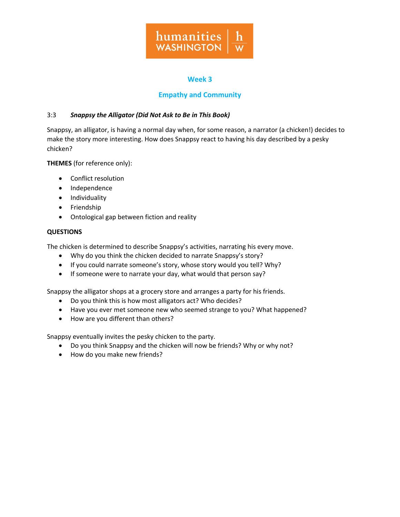

## **Empathy and Community**

## 3:3 *Snappsy the Alligator (Did Not Ask to Be in This Book)*

Snappsy, an alligator, is having a normal day when, for some reason, a narrator (a chicken!) decides to make the story more interesting. How does Snappsy react to having his day described by a pesky chicken?

**THEMES** (for reference only):

- Conflict resolution
- Independence
- Individuality
- Friendship
- Ontological gap between fiction and reality

#### **QUESTIONS**

The chicken is determined to describe Snappsy's activities, narrating his every move.

- Why do you think the chicken decided to narrate Snappsy's story?
- If you could narrate someone's story, whose story would you tell? Why?
- If someone were to narrate your day, what would that person say?

Snappsy the alligator shops at a grocery store and arranges a party for his friends.

- Do you think this is how most alligators act? Who decides?
- Have you ever met someone new who seemed strange to you? What happened?
- How are you different than others?

Snappsy eventually invites the pesky chicken to the party.

- Do you think Snappsy and the chicken will now be friends? Why or why not?
- How do you make new friends?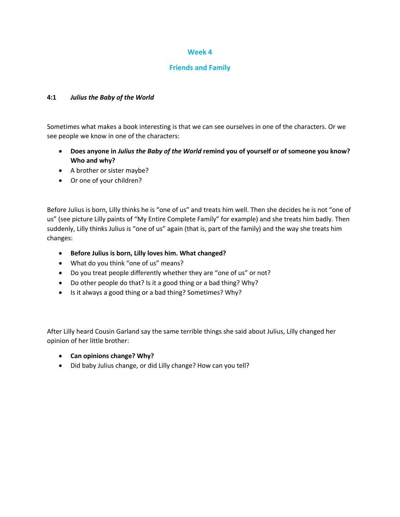## **Friends and Family**

#### **4:1** *Julius the Baby of the World*

Sometimes what makes a book interesting is that we can see ourselves in one of the characters. Or we see people we know in one of the characters:

- **Does anyone in** *Julius the Baby of the World* **remind you of yourself or of someone you know? Who and why?**
- A brother or sister maybe?
- Or one of your children?

Before Julius is born, Lilly thinks he is "one of us" and treats him well. Then she decides he is not "one of us" (see picture Lilly paints of "My Entire Complete Family" for example) and she treats him badly. Then suddenly, Lilly thinks Julius is "one of us" again (that is, part of the family) and the way she treats him changes:

- **Before Julius is born, Lilly loves him. What changed?**
- What do you think "one of us" means?
- Do you treat people differently whether they are "one of us" or not?
- Do other people do that? Is it a good thing or a bad thing? Why?
- Is it always a good thing or a bad thing? Sometimes? Why?

After Lilly heard Cousin Garland say the same terrible things she said about Julius, Lilly changed her opinion of her little brother:

- **Can opinions change? Why?**
- Did baby Julius change, or did Lilly change? How can you tell?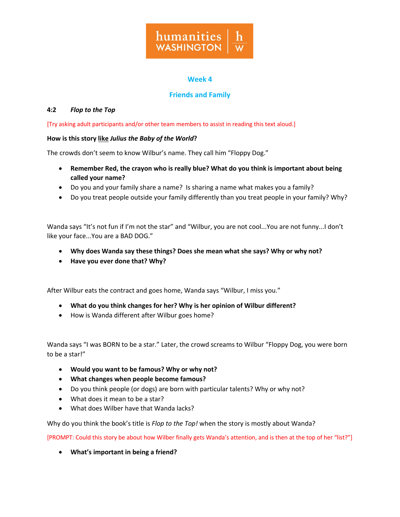

## **Friends and Family**

## **4:2** *Flop to the Top*

[Try asking adult participants and/or other team members to assist in reading this text aloud.]

## **How is this story like** *Julius the Baby of the World***?**

The crowds don't seem to know Wilbur's name. They call him "Floppy Dog."

- **Remember Red, the crayon who is really blue? What do you think is important about being called your name?**
- Do you and your family share a name? Is sharing a name what makes you a family?
- Do you treat people outside your family differently than you treat people in your family? Why?

Wanda says "It's not fun if I'm not the star" and "Wilbur, you are not cool...You are not funny...I don't like your face...You are a BAD DOG."

- **Why does Wanda say these things? Does she mean what she says? Why or why not?**
- **Have you ever done that? Why?**

After Wilbur eats the contract and goes home, Wanda says "Wilbur, I miss you."

- **What do you think changes for her? Why is her opinion of Wilbur different?**
- How is Wanda different after Wilbur goes home?

Wanda says "I was BORN to be a star." Later, the crowd screams to Wilbur "Floppy Dog, you were born to be a star!"

- **Would you want to be famous? Why or why not?**
- **What changes when people become famous?**
- Do you think people (or dogs) are born with particular talents? Why or why not?
- What does it mean to be a star?
- What does Wilber have that Wanda lacks?

Why do you think the book's title is *Flop to the Top!* when the story is mostly about Wanda?

[PROMPT: Could this story be about how Wilber finally gets Wanda's attention, and is then at the top of her "list?"]

• **What's important in being a friend?**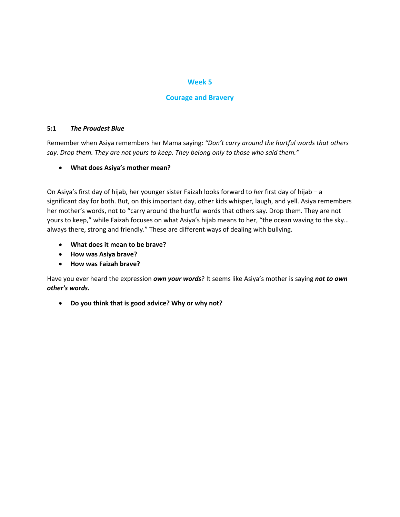#### **Courage and Bravery**

#### **5:1** *The Proudest Blue*

Remember when Asiya remembers her Mama saying: *"Don't carry around the hurtful words that others say. Drop them. They are not yours to keep. They belong only to those who said them."*

## • **What does Asiya's mother mean?**

On Asiya's first day of hijab, her younger sister Faizah looks forward to *her* first day of hijab – a significant day for both. But, on this important day, other kids whisper, laugh, and yell. Asiya remembers her mother's words, not to "carry around the hurtful words that others say. Drop them. They are not yours to keep," while Faizah focuses on what Asiya's hijab means to her, "the ocean waving to the sky… always there, strong and friendly." These are different ways of dealing with bullying.

- **What does it mean to be brave?**
- **How was Asiya brave?**
- **How was Faizah brave?**

Have you ever heard the expression *own your words*? It seems like Asiya's mother is saying *not to own other's words.*

• **Do you think that is good advice? Why or why not?**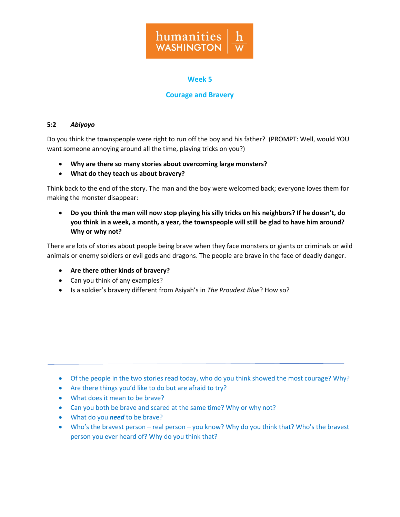

## **Courage and Bravery**

#### **5:2** *Abiyoyo*

Do you think the townspeople were right to run off the boy and his father? (PROMPT: Well, would YOU want someone annoying around all the time, playing tricks on you?)

- **Why are there so many stories about overcoming large monsters?**
- **What do they teach us about bravery?**

Think back to the end of the story. The man and the boy were welcomed back; everyone loves them for making the monster disappear:

• **Do you think the man will now stop playing his silly tricks on his neighbors? If he doesn't, do you think in a week, a month, a year, the townspeople will still be glad to have him around? Why or why not?**

There are lots of stories about people being brave when they face monsters or giants or criminals or wild animals or enemy soldiers or evil gods and dragons. The people are brave in the face of deadly danger.

- **Are there other kinds of bravery?**
- Can you think of any examples?
- Is a soldier's bravery different from Asiyah's in *The Proudest Blue*? How so?

- Of the people in the two stories read today, who do you think showed the most courage? Why?
- Are there things you'd like to do but are afraid to try?
- What does it mean to be brave?
- Can you both be brave and scared at the same time? Why or why not?
- What do you *need* to be brave?
- Who's the bravest person real person you know? Why do you think that? Who's the bravest person you ever heard of? Why do you think that?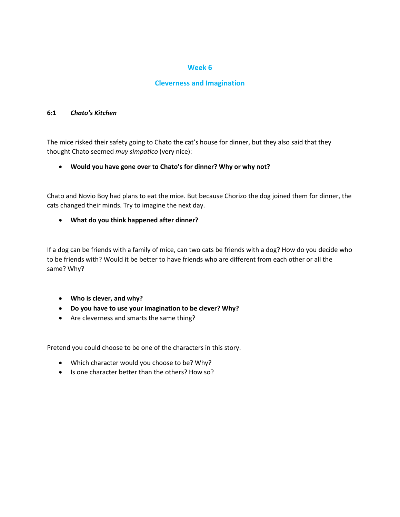## **Cleverness and Imagination**

#### **6:1** *Chato's Kitchen*

The mice risked their safety going to Chato the cat's house for dinner, but they also said that they thought Chato seemed *muy simpatico* (very nice):

• **Would you have gone over to Chato's for dinner? Why or why not?**

Chato and Novio Boy had plans to eat the mice. But because Chorizo the dog joined them for dinner, the cats changed their minds. Try to imagine the next day.

• **What do you think happened after dinner?**

If a dog can be friends with a family of mice, can two cats be friends with a dog? How do you decide who to be friends with? Would it be better to have friends who are different from each other or all the same? Why?

- **Who is clever, and why?**
- **Do you have to use your imagination to be clever? Why?**
- Are cleverness and smarts the same thing?

Pretend you could choose to be one of the characters in this story.

- Which character would you choose to be? Why?
- Is one character better than the others? How so?